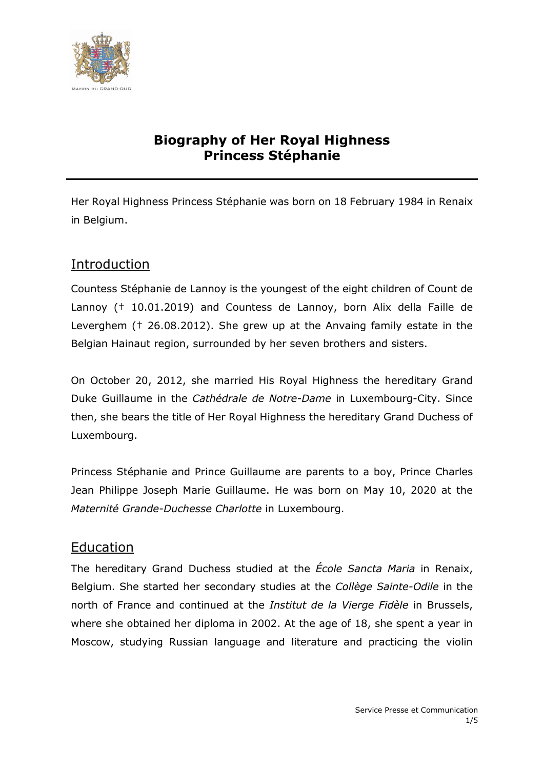

# **Biography of Her Royal Highness Princess Stéphanie**

Her Royal Highness Princess Stéphanie was born on 18 February 1984 in Renaix in Belgium.

# Introduction

Countess Stéphanie de Lannoy is the youngest of the eight children of Count de Lannoy († 10.01.2019) and Countess de Lannoy, born Alix della Faille de Leverghem († 26.08.2012). She grew up at the Anvaing family estate in the Belgian Hainaut region, surrounded by her seven brothers and sisters.

On October 20, 2012, she married His Royal Highness the hereditary Grand Duke Guillaume in the *Cathédrale de Notre-Dame* in Luxembourg-City. Since then, she bears the title of Her Royal Highness the hereditary Grand Duchess of Luxembourg.

Princess Stéphanie and Prince Guillaume are parents to a boy, Prince Charles Jean Philippe Joseph Marie Guillaume. He was born on May 10, 2020 at the *Maternité Grande-Duchesse Charlotte* in Luxembourg.

# Education

The hereditary Grand Duchess studied at the *École Sancta Maria* in Renaix, Belgium. She started her secondary studies at the *Collège Sainte-Odile* in the north of France and continued at the *Institut de la Vierge Fidèle* in Brussels, where she obtained her diploma in 2002. At the age of 18, she spent a year in Moscow, studying Russian language and literature and practicing the violin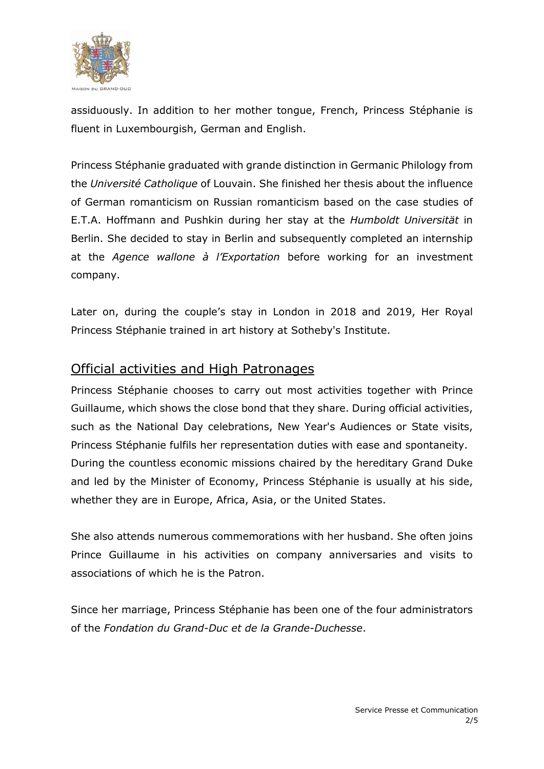

assiduously. In addition to her mother tongue, French, Princess Stéphanie is fluent in Luxembourgish, German and English.

Princess Stéphanie graduated with grande distinction in Germanic Philology from the *Université Catholique* of Louvain. She finished her thesis about the influence of German romanticism on Russian romanticism based on the case studies of E.T.A. Hoffmann and Pushkin during her stay at the *Humboldt Universität* in Berlin. She decided to stay in Berlin and subsequently completed an internship at the *Agence wallone à l'Exportation* before working for an investment company.

Later on, during the couple's stay in London in 2018 and 2019, Her Royal Princess Stéphanie trained in art history at Sotheby's Institute.

#### Official activities and High Patronages

Princess Stéphanie chooses to carry out most activities together with Prince Guillaume, which shows the close bond that they share. During official activities, such as the National Day celebrations, New Year's Audiences or State visits, Princess Stéphanie fulfils her representation duties with ease and spontaneity. During the countless economic missions chaired by the hereditary Grand Duke and led by the Minister of Economy, Princess Stéphanie is usually at his side, whether they are in Europe, Africa, Asia, or the United States.

She also attends numerous commemorations with her husband. She often joins Prince Guillaume in his activities on company anniversaries and visits to associations of which he is the Patron.

Since her marriage, Princess Stéphanie has been one of the four administrators of the *Fondation du Grand-Duc et de la Grande-Duchesse*.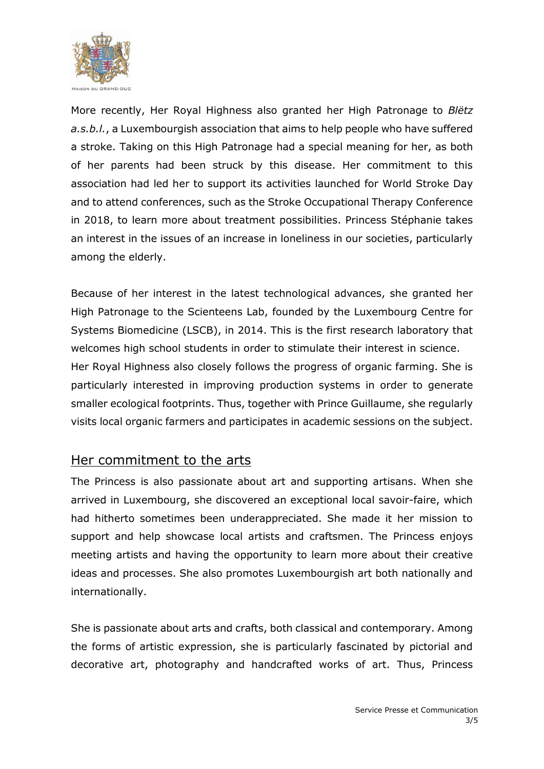

More recently, Her Royal Highness also granted her High Patronage to *Blëtz a.s.b.l.*, a Luxembourgish association that aims to help people who have suffered a stroke. Taking on this High Patronage had a special meaning for her, as both of her parents had been struck by this disease. Her commitment to this association had led her to support its activities launched for World Stroke Day and to attend conferences, such as the Stroke Occupational Therapy Conference in 2018, to learn more about treatment possibilities. Princess Stéphanie takes an interest in the issues of an increase in loneliness in our societies, particularly among the elderly.

Because of her interest in the latest technological advances, she granted her High Patronage to the Scienteens Lab, founded by the Luxembourg Centre for Systems Biomedicine (LSCB), in 2014. This is the first research laboratory that welcomes high school students in order to stimulate their interest in science. Her Royal Highness also closely follows the progress of organic farming. She is particularly interested in improving production systems in order to generate smaller ecological footprints. Thus, together with Prince Guillaume, she regularly visits local organic farmers and participates in academic sessions on the subject.

# Her commitment to the arts

The Princess is also passionate about art and supporting artisans. When she arrived in Luxembourg, she discovered an exceptional local savoir-faire, which had hitherto sometimes been underappreciated. She made it her mission to support and help showcase local artists and craftsmen. The Princess enjoys meeting artists and having the opportunity to learn more about their creative ideas and processes. She also promotes Luxembourgish art both nationally and internationally.

She is passionate about arts and crafts, both classical and contemporary. Among the forms of artistic expression, she is particularly fascinated by pictorial and decorative art, photography and handcrafted works of art. Thus, Princess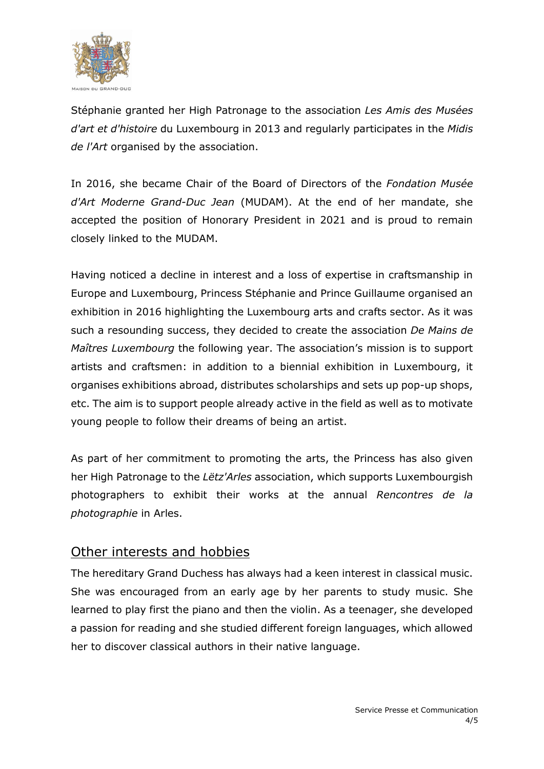

Stéphanie granted her High Patronage to the association *Les Amis des Musées d'art et d'histoire* du Luxembourg in 2013 and regularly participates in the *Midis de l'Art* organised by the association.

In 2016, she became Chair of the Board of Directors of the *Fondation Musée d'Art Moderne Grand-Duc Jean* (MUDAM). At the end of her mandate, she accepted the position of Honorary President in 2021 and is proud to remain closely linked to the MUDAM.

Having noticed a decline in interest and a loss of expertise in craftsmanship in Europe and Luxembourg, Princess Stéphanie and Prince Guillaume organised an exhibition in 2016 highlighting the Luxembourg arts and crafts sector. As it was such a resounding success, they decided to create the association *De Mains de Maîtres Luxembourg* the following year. The association's mission is to support artists and craftsmen: in addition to a biennial exhibition in Luxembourg, it organises exhibitions abroad, distributes scholarships and sets up pop-up shops, etc. The aim is to support people already active in the field as well as to motivate young people to follow their dreams of being an artist.

As part of her commitment to promoting the arts, the Princess has also given her High Patronage to the *Lëtz'Arles* association, which supports Luxembourgish photographers to exhibit their works at the annual *Rencontres de la photographie* in Arles.

# Other interests and hobbies

The hereditary Grand Duchess has always had a keen interest in classical music. She was encouraged from an early age by her parents to study music. She learned to play first the piano and then the violin. As a teenager, she developed a passion for reading and she studied different foreign languages, which allowed her to discover classical authors in their native language.